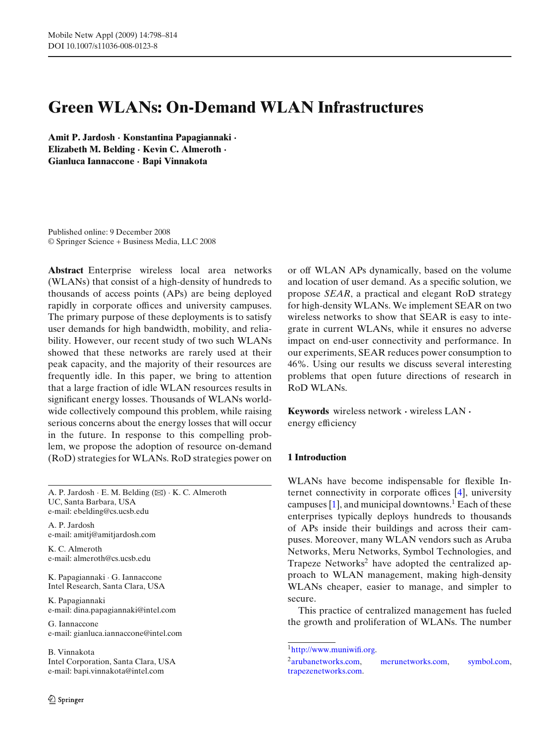# **Green WLANs: On-Demand WLAN Infrastructures**

**Amit P. Jardosh · Konstantina Papagiannaki · Elizabeth M. Belding · Kevin C. Almeroth · Gianluca Iannaccone · Bapi Vinnakota**

Published online: 9 December 2008 © Springer Science + Business Media, LLC 2008

**Abstract** Enterprise wireless local area networks (WLANs) that consist of a high-density of hundreds to thousands of access points (APs) are being deployed rapidly in corporate offices and university campuses. The primary purpose of these deployments is to satisfy user demands for high bandwidth, mobility, and reliability. However, our recent study of two such WLANs showed that these networks are rarely used at their peak capacity, and the majority of their resources are frequently idle. In this paper, we bring to attention that a large fraction of idle WLAN resources results in significant energy losses. Thousands of WLANs worldwide collectively compound this problem, while raising serious concerns about the energy losses that will occur in the future. In response to this compelling problem, we propose the adoption of resource on-demand (RoD) strategies for WLANs. RoD strategies power on

A. P. Jardosh  $\cdot$  E. M. Belding  $(\boxtimes) \cdot$  K. C. Almeroth UC, Santa Barbara, USA e-mail: ebelding@cs.ucsb.edu

A. P. Jardosh e-mail: amitj@amitjardosh.com

K. C. Almeroth e-mail: almeroth@cs.ucsb.edu

K. Papagiannaki · G. Iannaccone Intel Research, Santa Clara, USA

K. Papagiannaki e-mail: dina.papagiannaki@intel.com

G. Iannaccone e-mail: gianluca.iannaccone@intel.com

B. Vinnakota Intel Corporation, Santa Clara, USA e-mail: bapi.vinnakota@intel.com

or off WLAN APs dynamically, based on the volume and location of user demand. As a specific solution, we propose *SEAR*, a practical and elegant RoD strategy for high-density WLANs. We implement SEAR on two wireless networks to show that SEAR is easy to integrate in current WLANs, while it ensures no adverse impact on end-user connectivity and performance. In our experiments, SEAR reduces power consumption to 46%. Using our results we discuss several interesting problems that open future directions of research in RoD WLANs.

**Keywords** wireless network **·** wireless LAN **·** energy efficiency

# **1 Introduction**

WLANs have become indispensable for flexible Internet connectivity in corporate offices [\[4\]](#page-16-0), university campuses [\[1](#page-16-0)], and municipal downtowns.<sup>1</sup> Each of these enterprises typically deploys hundreds to thousands of APs inside their buildings and across their campuses. Moreover, many WLAN vendors such as Aruba Networks, Meru Networks, Symbol Technologies, and Trapeze Networks<sup>2</sup> have adopted the centralized approach to WLAN management, making high-density WLANs cheaper, easier to manage, and simpler to secure.

This practice of centralized management has fueled the growth and proliferation of WLANs. The number

[<sup>1</sup>http://www.muniwifi.org.](http://www.muniwifi.org)

<sup>&</sup>lt;sup>2</sup>arubanetworks.com, [merunetworks.com,](http://www.merunetworks.com) [symbol.com,](http://www.symbol.com) [trapezenetworks.com.](http://www.trapezenetworks.com)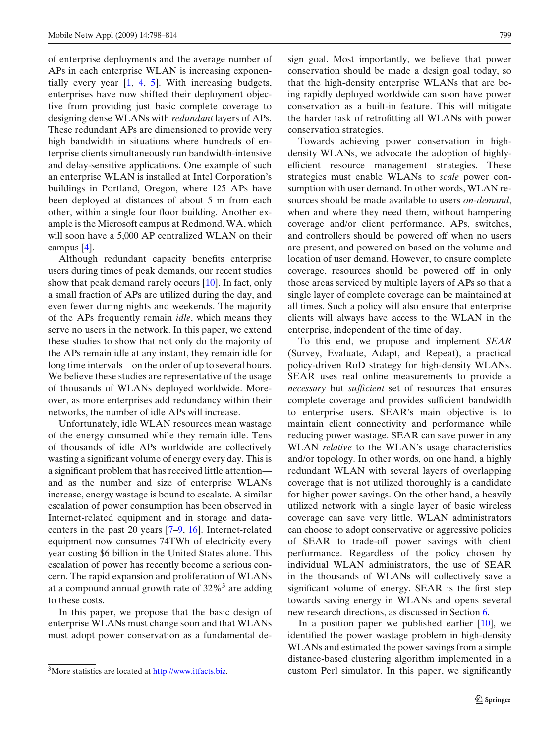of enterprise deployments and the average number of APs in each enterprise WLAN is increasing exponentially every year [\[1,](#page-16-0) [4,](#page-16-0) [5](#page-16-0)]. With increasing budgets, enterprises have now shifted their deployment objective from providing just basic complete coverage to designing dense WLANs with *redundant* layers of APs. These redundant APs are dimensioned to provide very high bandwidth in situations where hundreds of enterprise clients simultaneously run bandwidth-intensive and delay-sensitive applications. One example of such an enterprise WLAN is installed at Intel Corporation's buildings in Portland, Oregon, where 125 APs have been deployed at distances of about 5 m from each other, within a single four floor building. Another example is the Microsoft campus at Redmond, WA, which will soon have a 5,000 AP centralized WLAN on their campus [\[4\]](#page-16-0).

Although redundant capacity benefits enterprise users during times of peak demands, our recent studies show that peak demand rarely occurs  $[10]$ . In fact, only a small fraction of APs are utilized during the day, and even fewer during nights and weekends. The majority of the APs frequently remain *idle*, which means they serve no users in the network. In this paper, we extend these studies to show that not only do the majority of the APs remain idle at any instant, they remain idle for long time intervals—on the order of up to several hours. We believe these studies are representative of the usage of thousands of WLANs deployed worldwide. Moreover, as more enterprises add redundancy within their networks, the number of idle APs will increase.

Unfortunately, idle WLAN resources mean wastage of the energy consumed while they remain idle. Tens of thousands of idle APs worldwide are collectively wasting a significant volume of energy every day. This is a significant problem that has received little attention and as the number and size of enterprise WLANs increase, energy wastage is bound to escalate. A similar escalation of power consumption has been observed in Internet-related equipment and in storage and datacenters in the past 20 years [\[7–9](#page-16-0), [16](#page-16-0)]. Internet-related equipment now consumes 74TWh of electricity every year costing \$6 billion in the United States alone. This escalation of power has recently become a serious concern. The rapid expansion and proliferation of WLANs at a compound annual growth rate of  $32\%$ <sup>3</sup> are adding to these costs.

In this paper, we propose that the basic design of enterprise WLANs must change soon and that WLANs must adopt power conservation as a fundamental design goal. Most importantly, we believe that power conservation should be made a design goal today, so that the high-density enterprise WLANs that are being rapidly deployed worldwide can soon have power conservation as a built-in feature. This will mitigate the harder task of retrofitting all WLANs with power conservation strategies.

Towards achieving power conservation in highdensity WLANs, we advocate the adoption of highlyefficient resource management strategies. These strategies must enable WLANs to *scale* power consumption with user demand. In other words, WLAN resources should be made available to users *on-demand*, when and where they need them, without hampering coverage and/or client performance. APs, switches, and controllers should be powered off when no users are present, and powered on based on the volume and location of user demand. However, to ensure complete coverage, resources should be powered off in only those areas serviced by multiple layers of APs so that a single layer of complete coverage can be maintained at all times. Such a policy will also ensure that enterprise clients will always have access to the WLAN in the enterprise, independent of the time of day.

To this end, we propose and implement *SEAR* (Survey, Evaluate, Adapt, and Repeat), a practical policy-driven RoD strategy for high-density WLANs. SEAR uses real online measurements to provide a *necessary* but *sufficient* set of resources that ensures complete coverage and provides sufficient bandwidth to enterprise users. SEAR's main objective is to maintain client connectivity and performance while reducing power wastage. SEAR can save power in any WLAN *relative* to the WLAN's usage characteristics and/or topology. In other words, on one hand, a highly redundant WLAN with several layers of overlapping coverage that is not utilized thoroughly is a candidate for higher power savings. On the other hand, a heavily utilized network with a single layer of basic wireless coverage can save very little. WLAN administrators can choose to adopt conservative or aggressive policies of SEAR to trade-off power savings with client performance. Regardless of the policy chosen by individual WLAN administrators, the use of SEAR in the thousands of WLANs will collectively save a significant volume of energy. SEAR is the first step towards saving energy in WLANs and opens several new research directions, as discussed in Section [6.](#page-15-0)

In a position paper we published earlier [\[10](#page-16-0)], we identified the power wastage problem in high-density WLANs and estimated the power savings from a simple distance-based clustering algorithm implemented in a custom Perl simulator. In this paper, we significantly

<sup>3</sup>More statistics are located at [http://www.itfacts.biz.](http://www.itfacts.biz)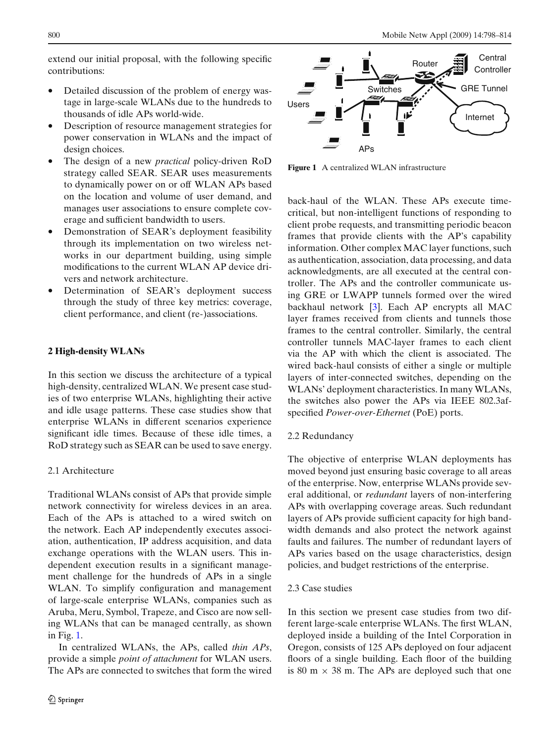<span id="page-2-0"></span>extend our initial proposal, with the following specific contributions:

- Detailed discussion of the problem of energy wastage in large-scale WLANs due to the hundreds to thousands of idle APs world-wide.
- Description of resource management strategies for power conservation in WLANs and the impact of design choices.
- The design of a new *practical* policy-driven RoD strategy called SEAR. SEAR uses measurements to dynamically power on or off WLAN APs based on the location and volume of user demand, and manages user associations to ensure complete coverage and sufficient bandwidth to users.
- Demonstration of SEAR's deployment feasibility through its implementation on two wireless networks in our department building, using simple modifications to the current WLAN AP device drivers and network architecture.
- Determination of SEAR's deployment success through the study of three key metrics: coverage, client performance, and client (re-)associations.

# **2 High-density WLANs**

In this section we discuss the architecture of a typical high-density, centralized WLAN. We present case studies of two enterprise WLANs, highlighting their active and idle usage patterns. These case studies show that enterprise WLANs in different scenarios experience significant idle times. Because of these idle times, a RoD strategy such as SEAR can be used to save energy.

# 2.1 Architecture

Traditional WLANs consist of APs that provide simple network connectivity for wireless devices in an area. Each of the APs is attached to a wired switch on the network. Each AP independently executes association, authentication, IP address acquisition, and data exchange operations with the WLAN users. This independent execution results in a significant management challenge for the hundreds of APs in a single WLAN. To simplify configuration and management of large-scale enterprise WLANs, companies such as Aruba, Meru, Symbol, Trapeze, and Cisco are now selling WLANs that can be managed centrally, as shown in Fig. 1.

In centralized WLANs, the APs, called *thin APs*, provide a simple *point of attachment* for WLAN users. The APs are connected to switches that form the wired



**Figure 1** A centralized WLAN infrastructure

back-haul of the WLAN. These APs execute timecritical, but non-intelligent functions of responding to client probe requests, and transmitting periodic beacon frames that provide clients with the AP's capability information. Other complex MAC layer functions, such as authentication, association, data processing, and data acknowledgments, are all executed at the central controller. The APs and the controller communicate using GRE or LWAPP tunnels formed over the wired backhaul network [\[3](#page-16-0)]. Each AP encrypts all MAC layer frames received from clients and tunnels those frames to the central controller. Similarly, the central controller tunnels MAC-layer frames to each client via the AP with which the client is associated. The wired back-haul consists of either a single or multiple layers of inter-connected switches, depending on the WLANs' deployment characteristics. In many WLANs, the switches also power the APs via IEEE 802.3afspecified *Power-over-Ethernet* (PoE) ports.

# 2.2 Redundancy

The objective of enterprise WLAN deployments has moved beyond just ensuring basic coverage to all areas of the enterprise. Now, enterprise WLANs provide several additional, or *redundant* layers of non-interfering APs with overlapping coverage areas. Such redundant layers of APs provide sufficient capacity for high bandwidth demands and also protect the network against faults and failures. The number of redundant layers of APs varies based on the usage characteristics, design policies, and budget restrictions of the enterprise.

# 2.3 Case studies

In this section we present case studies from two different large-scale enterprise WLANs. The first WLAN, deployed inside a building of the Intel Corporation in Oregon, consists of 125 APs deployed on four adjacent floors of a single building. Each floor of the building is 80 m  $\times$  38 m. The APs are deployed such that one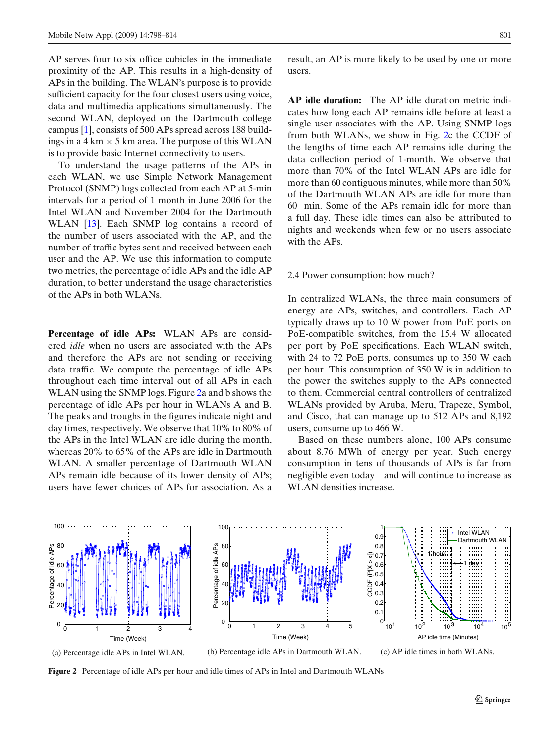AP serves four to six office cubicles in the immediate proximity of the AP. This results in a high-density of APs in the building. The WLAN's purpose is to provide sufficient capacity for the four closest users using voice, data and multimedia applications simultaneously. The second WLAN, deployed on the Dartmouth college campus [\[1](#page-16-0)], consists of 500 APs spread across 188 buildings in a 4 km  $\times$  5 km area. The purpose of this WLAN is to provide basic Internet connectivity to users.

To understand the usage patterns of the APs in each WLAN, we use Simple Network Management Protocol (SNMP) logs collected from each AP at 5-min intervals for a period of 1 month in June 2006 for the Intel WLAN and November 2004 for the Dartmouth WLAN [\[13\]](#page-16-0). Each SNMP log contains a record of the number of users associated with the AP, and the number of traffic bytes sent and received between each user and the AP. We use this information to compute two metrics, the percentage of idle APs and the idle AP duration, to better understand the usage characteristics of the APs in both WLANs.

**Percentage of idle APs:** WLAN APs are considered *idle* when no users are associated with the APs and therefore the APs are not sending or receiving data traffic. We compute the percentage of idle APs throughout each time interval out of all APs in each WLAN using the SNMP logs. Figure 2a and b shows the percentage of idle APs per hour in WLANs A and B. The peaks and troughs in the figures indicate night and day times, respectively. We observe that 10% to 80% of the APs in the Intel WLAN are idle during the month, whereas 20% to 65% of the APs are idle in Dartmouth WLAN. A smaller percentage of Dartmouth WLAN APs remain idle because of its lower density of APs; users have fewer choices of APs for association. As a

result, an AP is more likely to be used by one or more users.

**AP idle duration:** The AP idle duration metric indicates how long each AP remains idle before at least a single user associates with the AP. Using SNMP logs from both WLANs, we show in Fig. 2c the CCDF of the lengths of time each AP remains idle during the data collection period of 1-month. We observe that more than 70% of the Intel WLAN APs are idle for more than 60 contiguous minutes, while more than 50% of the Dartmouth WLAN APs are idle for more than 60 min. Some of the APs remain idle for more than a full day. These idle times can also be attributed to nights and weekends when few or no users associate with the APs.

### 2.4 Power consumption: how much?

In centralized WLANs, the three main consumers of energy are APs, switches, and controllers. Each AP typically draws up to 10 W power from PoE ports on PoE-compatible switches, from the 15.4 W allocated per port by PoE specifications. Each WLAN switch, with 24 to 72 PoE ports, consumes up to 350 W each per hour. This consumption of 350 W is in addition to the power the switches supply to the APs connected to them. Commercial central controllers of centralized WLANs provided by Aruba, Meru, Trapeze, Symbol, and Cisco, that can manage up to 512 APs and 8,192 users, consume up to 466 W.

Based on these numbers alone, 100 APs consume about 8.76 MWh of energy per year. Such energy consumption in tens of thousands of APs is far from negligible even today—and will continue to increase as WLAN densities increase.



(a) Percentage idle APs in Intel WLAN.

Time (Week) (b) Percentage idle APs in Dartmouth WLAN.

 $0 \t 1 \t 2 \t 3 \t 4 \t 5$ 



(c) AP idle times in both WLANs.

**Figure 2** Percentage of idle APs per hour and idle times of APs in Intel and Dartmouth WLANs

20 40

60 80

Percentage of idle APs

Percentage of idle APs

100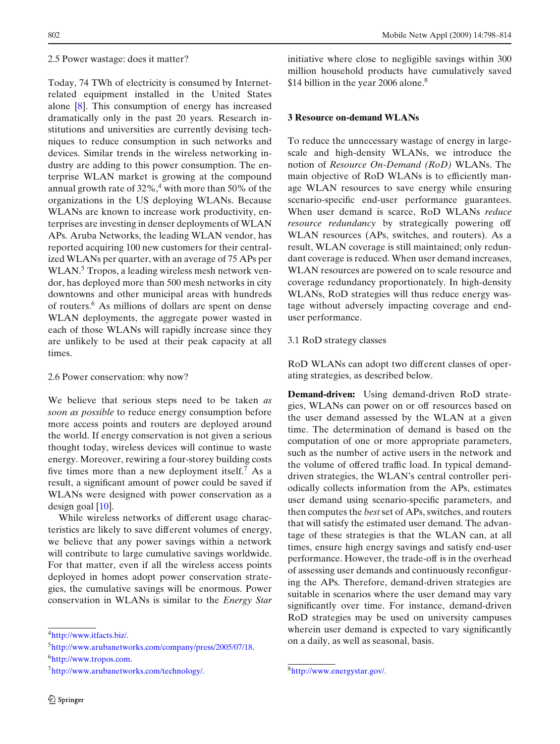# <span id="page-4-0"></span>2.5 Power wastage: does it matter?

Today, 74 TWh of electricity is consumed by Internetrelated equipment installed in the United States alone [\[8\]](#page-16-0). This consumption of energy has increased dramatically only in the past 20 years. Research institutions and universities are currently devising techniques to reduce consumption in such networks and devices. Similar trends in the wireless networking industry are adding to this power consumption. The enterprise WLAN market is growing at the compound annual growth rate of  $32\%$ , <sup>4</sup> with more than 50% of the organizations in the US deploying WLANs. Because WLANs are known to increase work productivity, enterprises are investing in denser deployments of WLAN APs. Aruba Networks, the leading WLAN vendor, has reported acquiring 100 new customers for their centralized WLANs per quarter, with an average of 75 APs per WLAN.<sup>5</sup> Tropos, a leading wireless mesh network vendor, has deployed more than 500 mesh networks in city downtowns and other municipal areas with hundreds of routers.<sup>6</sup> As millions of dollars are spent on dense WLAN deployments, the aggregate power wasted in each of those WLANs will rapidly increase since they are unlikely to be used at their peak capacity at all times.

### 2.6 Power conservation: why now?

We believe that serious steps need to be taken *as soon as possible* to reduce energy consumption before more access points and routers are deployed around the world. If energy conservation is not given a serious thought today, wireless devices will continue to waste energy. Moreover, rewiring a four-storey building costs five times more than a new deployment itself.<sup>7</sup> As a result, a significant amount of power could be saved if WLANs were designed with power conservation as a design goal [\[10\]](#page-16-0).

While wireless networks of different usage characteristics are likely to save different volumes of energy, we believe that any power savings within a network will contribute to large cumulative savings worldwide. For that matter, even if all the wireless access points deployed in homes adopt power conservation strategies, the cumulative savings will be enormous. Power conservation in WLANs is similar to the *Energy Star* initiative where close to negligible savings within 300 million household products have cumulatively saved \$14 billion in the year 2006 alone.<sup>8</sup>

# **3 Resource on-demand WLANs**

To reduce the unnecessary wastage of energy in largescale and high-density WLANs, we introduce the notion of *Resource On-Demand (RoD)* WLANs. The main objective of RoD WLANs is to efficiently manage WLAN resources to save energy while ensuring scenario-specific end-user performance guarantees. When user demand is scarce, RoD WLANs *reduce resource redundancy* by strategically powering off WLAN resources (APs, switches, and routers). As a result, WLAN coverage is still maintained; only redundant coverage is reduced. When user demand increases, WLAN resources are powered on to scale resource and coverage redundancy proportionately. In high-density WLANs, RoD strategies will thus reduce energy wastage without adversely impacting coverage and enduser performance.

# 3.1 RoD strategy classes

RoD WLANs can adopt two different classes of operating strategies, as described below.

**Demand-driven:** Using demand-driven RoD strategies, WLANs can power on or off resources based on the user demand assessed by the WLAN at a given time. The determination of demand is based on the computation of one or more appropriate parameters, such as the number of active users in the network and the volume of offered traffic load. In typical demanddriven strategies, the WLAN's central controller periodically collects information from the APs, estimates user demand using scenario-specific parameters, and then computes the *best* set of APs, switches, and routers that will satisfy the estimated user demand. The advantage of these strategies is that the WLAN can, at all times, ensure high energy savings and satisfy end-user performance. However, the trade-off is in the overhead of assessing user demands and continuously reconfiguring the APs. Therefore, demand-driven strategies are suitable in scenarios where the user demand may vary significantly over time. For instance, demand-driven RoD strategies may be used on university campuses wherein user demand is expected to vary significantly on a daily, as well as seasonal, basis.

[<sup>4</sup>http://www.itfacts.biz/.](http://www.itfacts.biz/)

[<sup>5</sup>http://www.arubanetworks.com/company/press/2005/07/18.](http://www.arubanetworks.com/ company/press/2005/07/18)

[<sup>6</sup>http://www.tropos.com.](http://www.tropos.com)

[<sup>7</sup>http://www.arubanetworks.com/technology/.](http://www.arubanetworks.com/technology/)

[<sup>8</sup>http://www.energystar.gov/.](http://www.energystar.gov/)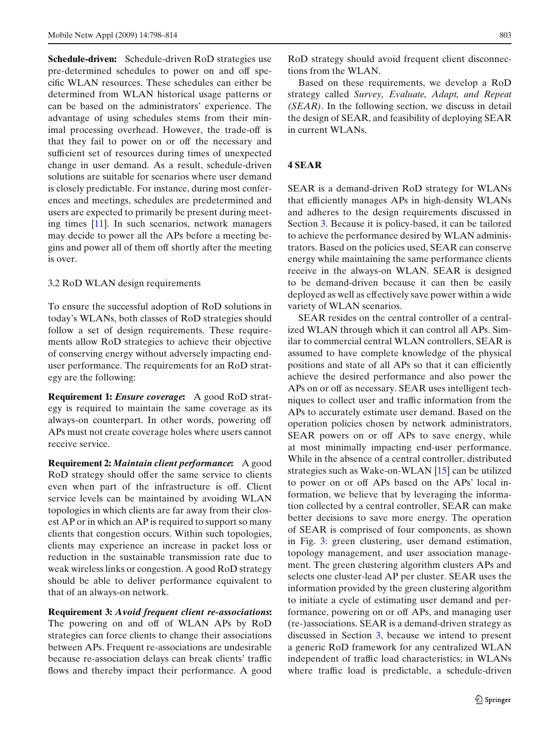<span id="page-5-0"></span>**Schedule-driven:** Schedule-driven RoD strategies use pre-determined schedules to power on and off specific WLAN resources. These schedules can either be determined from WLAN historical usage patterns or can be based on the administrators' experience. The advantage of using schedules stems from their minimal processing overhead. However, the trade-off is that they fail to power on or off the necessary and sufficient set of resources during times of unexpected change in user demand. As a result, schedule-driven solutions are suitable for scenarios where user demand is closely predictable. For instance, during most conferences and meetings, schedules are predetermined and users are expected to primarily be present during meeting times [\[11](#page-16-0)]. In such scenarios, network managers may decide to power all the APs before a meeting begins and power all of them off shortly after the meeting is over.

### 3.2 RoD WLAN design requirements

To ensure the successful adoption of RoD solutions in today's WLANs, both classes of RoD strategies should follow a set of design requirements. These requirements allow RoD strategies to achieve their objective of conserving energy without adversely impacting enduser performance. The requirements for an RoD strategy are the following:

**Requirement 1:** *Ensure coverage***:** A good RoD strategy is required to maintain the same coverage as its always-on counterpart. In other words, powering off APs must not create coverage holes where users cannot receive service.

**Requirement 2:** *Maintain client performance***:** A good RoD strategy should offer the same service to clients even when part of the infrastructure is off. Client service levels can be maintained by avoiding WLAN topologies in which clients are far away from their closest AP or in which an AP is required to support so many clients that congestion occurs. Within such topologies, clients may experience an increase in packet loss or reduction in the sustainable transmission rate due to weak wireless links or congestion. A good RoD strategy should be able to deliver performance equivalent to that of an always-on network.

**Requirement 3:** *Avoid frequent client re-associations***:** The powering on and off of WLAN APs by RoD strategies can force clients to change their associations between APs. Frequent re-associations are undesirable because re-association delays can break clients' traffic flows and thereby impact their performance. A good

RoD strategy should avoid frequent client disconnections from the WLAN.

Based on these requirements, we develop a RoD strategy called *Survey, Evaluate, Adapt, and Repeat (SEAR)*. In the following section, we discuss in detail the design of SEAR, and feasibility of deploying SEAR in current WLANs.

# **4 SEAR**

SEAR is a demand-driven RoD strategy for WLANs that efficiently manages APs in high-density WLANs and adheres to the design requirements discussed in Section [3.](#page-4-0) Because it is policy-based, it can be tailored to achieve the performance desired by WLAN administrators. Based on the policies used, SEAR can conserve energy while maintaining the same performance clients receive in the always-on WLAN. SEAR is designed to be demand-driven because it can then be easily deployed as well as effectively save power within a wide variety of WLAN scenarios.

SEAR resides on the central controller of a centralized WLAN through which it can control all APs. Similar to commercial central WLAN controllers, SEAR is assumed to have complete knowledge of the physical positions and state of all APs so that it can efficiently achieve the desired performance and also power the APs on or off as necessary. SEAR uses intelligent techniques to collect user and traffic information from the APs to accurately estimate user demand. Based on the operation policies chosen by network administrators, SEAR powers on or off APs to save energy, while at most minimally impacting end-user performance. While in the absence of a central controller, distributed strategies such as Wake-on-WLAN [\[15](#page-16-0)] can be utilized to power on or off APs based on the APs' local information, we believe that by leveraging the information collected by a central controller, SEAR can make better decisions to save more energy. The operation of SEAR is comprised of four components, as shown in Fig. [3:](#page-6-0) green clustering, user demand estimation, topology management, and user association management. The green clustering algorithm clusters APs and selects one cluster-lead AP per cluster. SEAR uses the information provided by the green clustering algorithm to initiate a cycle of estimating user demand and performance, powering on or off APs, and managing user (re-)associations. SEAR is a demand-driven strategy as discussed in Section [3,](#page-4-0) because we intend to present a generic RoD framework for any centralized WLAN independent of traffic load characteristics; in WLANs where traffic load is predictable, a schedule-driven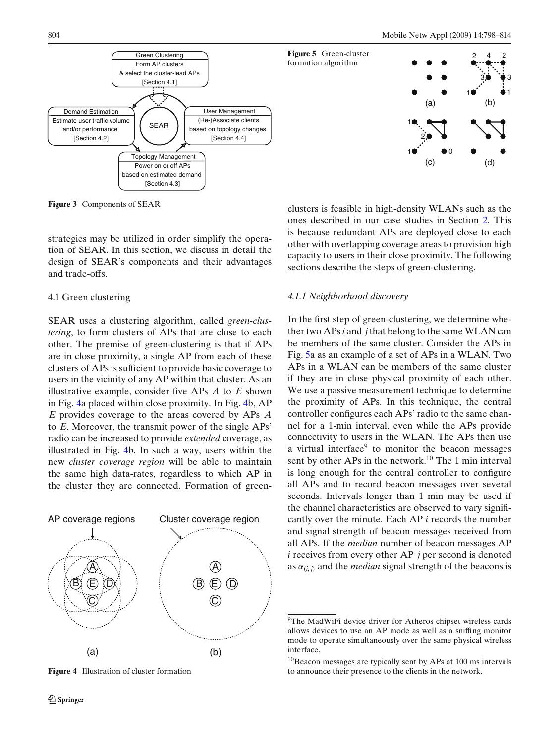<span id="page-6-0"></span>

**Figure 3** Components of SEAR

strategies may be utilized in order simplify the operation of SEAR. In this section, we discuss in detail the design of SEAR's components and their advantages and trade-offs.

# 4.1 Green clustering

SEAR uses a clustering algorithm, called *green-clustering*, to form clusters of APs that are close to each other. The premise of green-clustering is that if APs are in close proximity, a single AP from each of these clusters of APs is sufficient to provide basic coverage to users in the vicinity of any AP within that cluster. As an illustrative example, consider five APs *A* to *E* shown in Fig. 4a placed within close proximity. In Fig. 4b, AP *E* provides coverage to the areas covered by APs *A* to *E*. Moreover, the transmit power of the single APs' radio can be increased to provide *extended* coverage, as illustrated in Fig. 4b. In such a way, users within the new *cluster coverage region* will be able to maintain the same high data-rates, regardless to which AP in the cluster they are connected. Formation of green-



**Figure 4** Illustration of cluster formation



clusters is feasible in high-density WLANs such as the ones described in our case studies in Section [2.](#page-2-0) This is because redundant APs are deployed close to each other with overlapping coverage areas to provision high capacity to users in their close proximity. The following sections describe the steps of green-clustering.

# *4.1.1 Neighborhood discovery*

In the first step of green-clustering, we determine whether two APs*i* and *j*that belong to the same WLAN can be members of the same cluster. Consider the APs in Fig. 5a as an example of a set of APs in a WLAN. Two APs in a WLAN can be members of the same cluster if they are in close physical proximity of each other. We use a passive measurement technique to determine the proximity of APs. In this technique, the central controller configures each APs' radio to the same channel for a 1-min interval, even while the APs provide connectivity to users in the WLAN. The APs then use a virtual interface $9$  to monitor the beacon messages sent by other APs in the network.<sup>10</sup> The 1 min interval is long enough for the central controller to configure all APs and to record beacon messages over several seconds. Intervals longer than 1 min may be used if the channel characteristics are observed to vary significantly over the minute. Each AP *i* records the number and signal strength of beacon messages received from all APs. If the *median* number of beacon messages AP *i* receives from every other AP *j* per second is denoted as  $\alpha_{(i,j)}$  and the *median* signal strength of the beacons is

<sup>&</sup>lt;sup>9</sup>The MadWiFi device driver for Atheros chipset wireless cards allows devices to use an AP mode as well as a sniffing monitor mode to operate simultaneously over the same physical wireless interface.

 $10B$ eacon messages are typically sent by APs at 100 ms intervals to announce their presence to the clients in the network.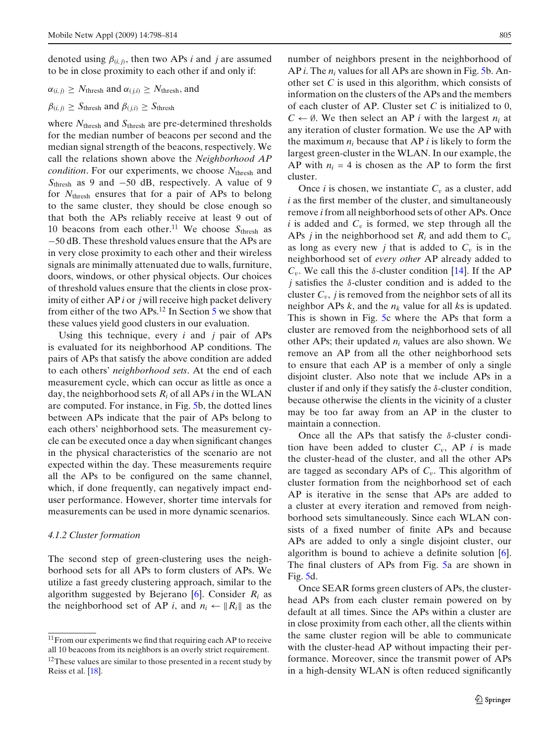denoted using  $\beta_{(i,j)}$ , then two APs *i* and *j* are assumed to be in close proximity to each other if and only if:

$$
\alpha_{(i,j)} \geq N_{\text{thresh}}
$$
 and  $\alpha_{(j,i)} \geq N_{\text{thresh}}$ , and  
 $\beta_{(i,j)} \geq S_{\text{thresh}}$  and  $\beta_{(j,i)} \geq S_{\text{thresh}}$ 

where  $N_{\text{thresh}}$  and  $S_{\text{thresh}}$  are pre-determined thresholds for the median number of beacons per second and the median signal strength of the beacons, respectively. We call the relations shown above the *Neighborhood AP condition*. For our experiments, we choose  $N_{\text{thresh}}$  and *S*thresh as 9 and −50 dB, respectively. A value of 9 for *N*thresh ensures that for a pair of APs to belong to the same cluster, they should be close enough so that both the APs reliably receive at least 9 out of 10 beacons from each other.<sup>11</sup> We choose  $S_{\text{thresh}}$  as −50 dB. These threshold values ensure that the APs are in very close proximity to each other and their wireless signals are minimally attenuated due to walls, furniture, doors, windows, or other physical objects. Our choices of threshold values ensure that the clients in close proximity of either AP *i* or *j* will receive high packet delivery from either of the two APs.<sup>12</sup> In Section [5](#page-10-0) we show that these values yield good clusters in our evaluation.

Using this technique, every *i* and *j* pair of APs is evaluated for its neighborhood AP conditions. The pairs of APs that satisfy the above condition are added to each others' *neighborhood sets*. At the end of each measurement cycle, which can occur as little as once a day, the neighborhood sets  $R_i$  of all APs *i* in the WLAN are computed. For instance, in Fig. [5b](#page-6-0), the dotted lines between APs indicate that the pair of APs belong to each others' neighborhood sets. The measurement cycle can be executed once a day when significant changes in the physical characteristics of the scenario are not expected within the day. These measurements require all the APs to be configured on the same channel, which, if done frequently, can negatively impact enduser performance. However, shorter time intervals for measurements can be used in more dynamic scenarios.

#### *4.1.2 Cluster formation*

The second step of green-clustering uses the neighborhood sets for all APs to form clusters of APs. We utilize a fast greedy clustering approach, similar to the algorithm suggested by Bejerano [\[6\]](#page-16-0). Consider *Ri* as the neighborhood set of AP *i*, and  $n_i \leftarrow ||R_i||$  as the

number of neighbors present in the neighborhood of AP *i*. The *ni* values for all APs are shown in Fig. [5b](#page-6-0). Another set *C* is used in this algorithm, which consists of information on the clusters of the APs and the members of each cluster of AP. Cluster set *C* is initialized to 0,  $C \leftarrow \emptyset$ . We then select an AP *i* with the largest  $n_i$  at any iteration of cluster formation. We use the AP with the maximum  $n_i$  because that AP  $i$  is likely to form the largest green-cluster in the WLAN. In our example, the AP with  $n_i = 4$  is chosen as the AP to form the first cluster.

Once *i* is chosen, we instantiate  $C_v$  as a cluster, add *i* as the first member of the cluster, and simultaneously remove *i* from all neighborhood sets of other APs. Once  $i$  is added and  $C_v$  is formed, we step through all the APs *j* in the neighborhood set  $R_i$  and add them to  $C_v$ as long as every new *j* that is added to  $C_v$  is in the neighborhood set of *every other* AP already added to  $C_v$ . We call this the  $\delta$ -cluster condition [\[14](#page-16-0)]. If the AP *j* satisfies the δ-cluster condition and is added to the cluster  $C_v$ , *j* is removed from the neighbor sets of all its neighbor APs  $k$ , and the  $n_k$  value for all  $k$ s is updated. This is shown in Fig. [5c](#page-6-0) where the APs that form a cluster are removed from the neighborhood sets of all other APs; their updated *ni* values are also shown. We remove an AP from all the other neighborhood sets to ensure that each AP is a member of only a single disjoint cluster. Also note that we include APs in a cluster if and only if they satisfy the  $\delta$ -cluster condition, because otherwise the clients in the vicinity of a cluster may be too far away from an AP in the cluster to maintain a connection.

Once all the APs that satisfy the  $\delta$ -cluster condition have been added to cluster  $C_v$ , AP *i* is made the cluster-head of the cluster, and all the other APs are tagged as secondary APs of  $C_v$ . This algorithm of cluster formation from the neighborhood set of each AP is iterative in the sense that APs are added to a cluster at every iteration and removed from neighborhood sets simultaneously. Since each WLAN consists of a fixed number of finite APs and because APs are added to only a single disjoint cluster, our algorithm is bound to achieve a definite solution [\[6](#page-16-0)]. The final clusters of APs from Fig. [5a](#page-6-0) are shown in Fig. [5d](#page-6-0).

Once SEAR forms green clusters of APs, the clusterhead APs from each cluster remain powered on by default at all times. Since the APs within a cluster are in close proximity from each other, all the clients within the same cluster region will be able to communicate with the cluster-head AP without impacting their performance. Moreover, since the transmit power of APs in a high-density WLAN is often reduced significantly

 $11$  From our experiments we find that requiring each AP to receive all 10 beacons from its neighbors is an overly strict requirement.

 $12$ These values are similar to those presented in a recent study by Reiss et al. [\[18](#page-16-0)].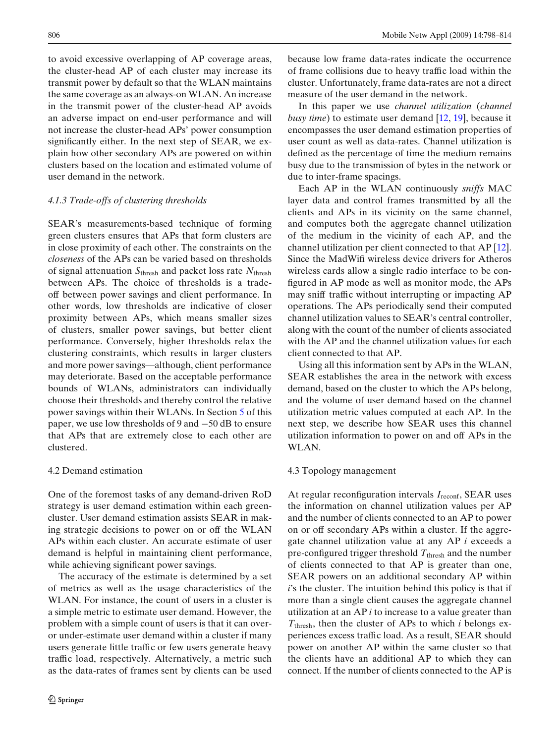to avoid excessive overlapping of AP coverage areas, the cluster-head AP of each cluster may increase its transmit power by default so that the WLAN maintains the same coverage as an always-on WLAN. An increase in the transmit power of the cluster-head AP avoids an adverse impact on end-user performance and will not increase the cluster-head APs' power consumption significantly either. In the next step of SEAR, we explain how other secondary APs are powered on within clusters based on the location and estimated volume of user demand in the network.

# *4.1.3 Trade-offs of clustering thresholds*

SEAR's measurements-based technique of forming green clusters ensures that APs that form clusters are in close proximity of each other. The constraints on the *closeness* of the APs can be varied based on thresholds of signal attenuation *S*thresh and packet loss rate *N*thresh between APs. The choice of thresholds is a tradeoff between power savings and client performance. In other words, low thresholds are indicative of closer proximity between APs, which means smaller sizes of clusters, smaller power savings, but better client performance. Conversely, higher thresholds relax the clustering constraints, which results in larger clusters and more power savings—although, client performance may deteriorate. Based on the acceptable performance bounds of WLANs, administrators can individually choose their thresholds and thereby control the relative power savings within their WLANs. In Section [5](#page-10-0) of this paper, we use low thresholds of 9 and −50 dB to ensure that APs that are extremely close to each other are clustered.

# 4.2 Demand estimation

One of the foremost tasks of any demand-driven RoD strategy is user demand estimation within each greencluster. User demand estimation assists SEAR in making strategic decisions to power on or off the WLAN APs within each cluster. An accurate estimate of user demand is helpful in maintaining client performance, while achieving significant power savings.

The accuracy of the estimate is determined by a set of metrics as well as the usage characteristics of the WLAN. For instance, the count of users in a cluster is a simple metric to estimate user demand. However, the problem with a simple count of users is that it can overor under-estimate user demand within a cluster if many users generate little traffic or few users generate heavy traffic load, respectively. Alternatively, a metric such as the data-rates of frames sent by clients can be used because low frame data-rates indicate the occurrence of frame collisions due to heavy traffic load within the cluster. Unfortunately, frame data-rates are not a direct measure of the user demand in the network.

In this paper we use *channel utilization* (*channel busy time*) to estimate user demand [\[12](#page-16-0), [19](#page-16-0)], because it encompasses the user demand estimation properties of user count as well as data-rates. Channel utilization is defined as the percentage of time the medium remains busy due to the transmission of bytes in the network or due to inter-frame spacings.

Each AP in the WLAN continuously *sniffs* MAC layer data and control frames transmitted by all the clients and APs in its vicinity on the same channel, and computes both the aggregate channel utilization of the medium in the vicinity of each AP, and the channel utilization per client connected to that AP [\[12](#page-16-0)]. Since the MadWifi wireless device drivers for Atheros wireless cards allow a single radio interface to be configured in AP mode as well as monitor mode, the APs may sniff traffic without interrupting or impacting AP operations. The APs periodically send their computed channel utilization values to SEAR's central controller, along with the count of the number of clients associated with the AP and the channel utilization values for each client connected to that AP.

Using all this information sent by APs in the WLAN, SEAR establishes the area in the network with excess demand, based on the cluster to which the APs belong, and the volume of user demand based on the channel utilization metric values computed at each AP. In the next step, we describe how SEAR uses this channel utilization information to power on and off APs in the WLAN.

### 4.3 Topology management

At regular reconfiguration intervals *I*<sub>reconf</sub>, SEAR uses the information on channel utilization values per AP and the number of clients connected to an AP to power on or off secondary APs within a cluster. If the aggregate channel utilization value at any AP *i* exceeds a pre-configured trigger threshold  $T_{\text{thresh}}$  and the number of clients connected to that AP is greater than one, SEAR powers on an additional secondary AP within *i*'s the cluster. The intuition behind this policy is that if more than a single client causes the aggregate channel utilization at an AP *i* to increase to a value greater than *T*thresh, then the cluster of APs to which *i* belongs experiences excess traffic load. As a result, SEAR should power on another AP within the same cluster so that the clients have an additional AP to which they can connect. If the number of clients connected to the AP is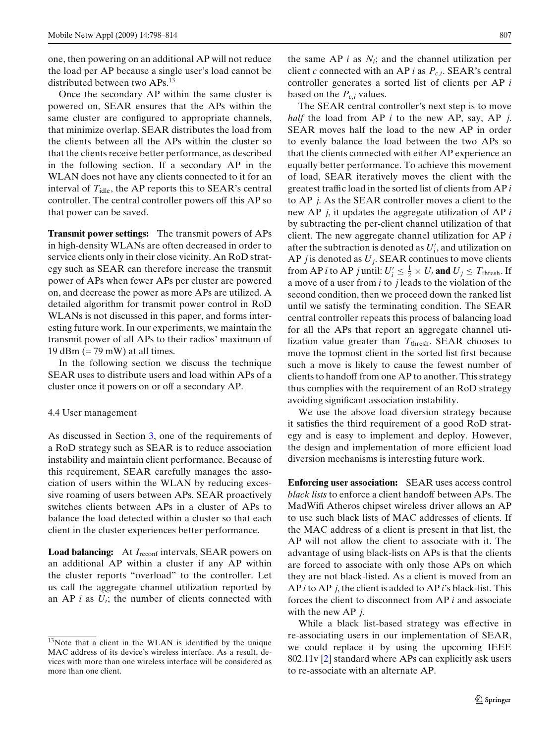one, then powering on an additional AP will not reduce the load per AP because a single user's load cannot be distributed between two APs.<sup>13</sup>

Once the secondary AP within the same cluster is powered on, SEAR ensures that the APs within the same cluster are configured to appropriate channels, that minimize overlap. SEAR distributes the load from the clients between all the APs within the cluster so that the clients receive better performance, as described in the following section. If a secondary AP in the WLAN does not have any clients connected to it for an interval of  $T_{idle}$ , the AP reports this to SEAR's central controller. The central controller powers off this AP so that power can be saved.

**Transmit power settings:** The transmit powers of APs in high-density WLANs are often decreased in order to service clients only in their close vicinity. An RoD strategy such as SEAR can therefore increase the transmit power of APs when fewer APs per cluster are powered on, and decrease the power as more APs are utilized. A detailed algorithm for transmit power control in RoD WLANs is not discussed in this paper, and forms interesting future work. In our experiments, we maintain the transmit power of all APs to their radios' maximum of 19 dBm  $(= 79 \text{ mW})$  at all times.

In the following section we discuss the technique SEAR uses to distribute users and load within APs of a cluster once it powers on or off a secondary AP.

#### 4.4 User management

As discussed in Section [3,](#page-4-0) one of the requirements of a RoD strategy such as SEAR is to reduce association instability and maintain client performance. Because of this requirement, SEAR carefully manages the association of users within the WLAN by reducing excessive roaming of users between APs. SEAR proactively switches clients between APs in a cluster of APs to balance the load detected within a cluster so that each client in the cluster experiences better performance.

Load balancing: At *I*<sub>reconf</sub> intervals, SEAR powers on an additional AP within a cluster if any AP within the cluster reports "overload" to the controller. Let us call the aggregate channel utilization reported by an  $AP$  *i* as  $U_i$ ; the number of clients connected with the same  $AP$  *i* as  $N_i$ ; and the channel utilization per client *c* connected with an AP *i* as  $P_{c,i}$ . SEAR's central controller generates a sorted list of clients per AP *i* based on the  $P_{c,i}$  values.

The SEAR central controller's next step is to move *half* the load from AP *i* to the new AP, say, AP *j*. SEAR moves half the load to the new AP in order to evenly balance the load between the two APs so that the clients connected with either AP experience an equally better performance. To achieve this movement of load, SEAR iteratively moves the client with the greatest traffic load in the sorted list of clients from AP *i* to AP *j*. As the SEAR controller moves a client to the new AP *j*, it updates the aggregate utilization of AP *i* by subtracting the per-client channel utilization of that client. The new aggregate channel utilization for AP *i* after the subtraction is denoted as  $U_i'$ , and utilization on AP *j* is denoted as *Uj*. SEAR continues to move clients from AP *i* to AP *j* until:  $U_i' \leq \frac{1}{2} \times U_i$  and  $U_j \leq T_{\text{thresh}}$ . If a move of a user from *i* to *j* leads to the violation of the second condition, then we proceed down the ranked list until we satisfy the terminating condition. The SEAR central controller repeats this process of balancing load for all the APs that report an aggregate channel utilization value greater than  $T_{\text{thresh}}$ . SEAR chooses to move the topmost client in the sorted list first because such a move is likely to cause the fewest number of clients to handoff from one AP to another. This strategy thus complies with the requirement of an RoD strategy avoiding significant association instability.

We use the above load diversion strategy because it satisfies the third requirement of a good RoD strategy and is easy to implement and deploy. However, the design and implementation of more efficient load diversion mechanisms is interesting future work.

**Enforcing user association:** SEAR uses access control *black lists* to enforce a client handoff between APs. The MadWifi Atheros chipset wireless driver allows an AP to use such black lists of MAC addresses of clients. If the MAC address of a client is present in that list, the AP will not allow the client to associate with it. The advantage of using black-lists on APs is that the clients are forced to associate with only those APs on which they are not black-listed. As a client is moved from an AP *i* to AP *j*, the client is added to AP *i*'s black-list. This forces the client to disconnect from AP *i* and associate with the new AP *j*.

While a black list-based strategy was effective in re-associating users in our implementation of SEAR, we could replace it by using the upcoming IEEE 802.11v [\[2](#page-16-0)] standard where APs can explicitly ask users to re-associate with an alternate AP.

<sup>13</sup>Note that a client in the WLAN is identified by the unique MAC address of its device's wireless interface. As a result, devices with more than one wireless interface will be considered as more than one client.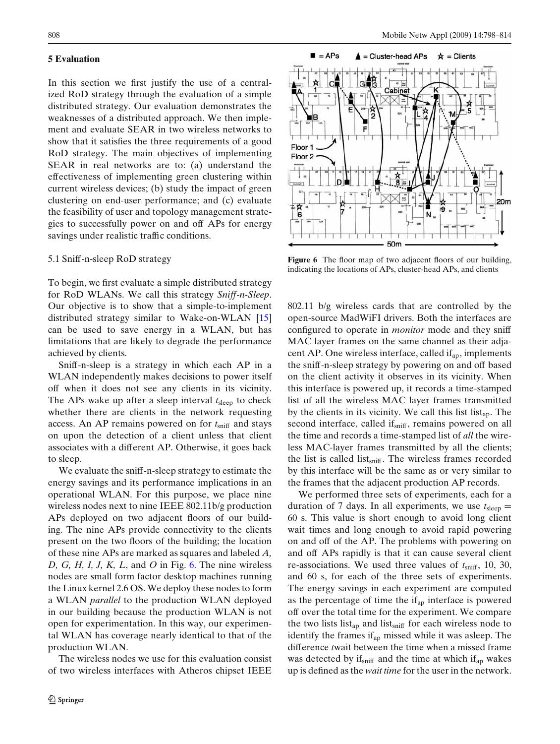# <span id="page-10-0"></span>**5 Evaluation**

In this section we first justify the use of a centralized RoD strategy through the evaluation of a simple distributed strategy. Our evaluation demonstrates the weaknesses of a distributed approach. We then implement and evaluate SEAR in two wireless networks to show that it satisfies the three requirements of a good RoD strategy. The main objectives of implementing SEAR in real networks are to: (a) understand the effectiveness of implementing green clustering within current wireless devices; (b) study the impact of green clustering on end-user performance; and (c) evaluate the feasibility of user and topology management strategies to successfully power on and off APs for energy savings under realistic traffic conditions.

## 5.1 Sniff-n-sleep RoD strategy

To begin, we first evaluate a simple distributed strategy for RoD WLANs. We call this strategy *Sniff-n-Sleep*. Our objective is to show that a simple-to-implement distributed strategy similar to Wake-on-WLAN [\[15\]](#page-16-0) can be used to save energy in a WLAN, but has limitations that are likely to degrade the performance achieved by clients.

Sniff-n-sleep is a strategy in which each AP in a WLAN independently makes decisions to power itself off when it does not see any clients in its vicinity. The APs wake up after a sleep interval  $t<sub>sleep</sub>$  to check whether there are clients in the network requesting access. An AP remains powered on for  $t_{\text{sniff}}$  and stays on upon the detection of a client unless that client associates with a different AP. Otherwise, it goes back to sleep.

We evaluate the sniff-n-sleep strategy to estimate the energy savings and its performance implications in an operational WLAN. For this purpose, we place nine wireless nodes next to nine IEEE 802.11b/g production APs deployed on two adjacent floors of our building. The nine APs provide connectivity to the clients present on the two floors of the building; the location of these nine APs are marked as squares and labeled *A, D, G, H, I, J, K, L*, and *O* in Fig. 6. The nine wireless nodes are small form factor desktop machines running the Linux kernel 2.6 OS. We deploy these nodes to form a WLAN *parallel* to the production WLAN deployed in our building because the production WLAN is not open for experimentation. In this way, our experimental WLAN has coverage nearly identical to that of the production WLAN.

The wireless nodes we use for this evaluation consist of two wireless interfaces with Atheros chipset IEEE



**Figure 6** The floor map of two adjacent floors of our building, indicating the locations of APs, cluster-head APs, and clients

802.11 b/g wireless cards that are controlled by the open-source MadWiFI drivers. Both the interfaces are configured to operate in *monitor* mode and they sniff MAC layer frames on the same channel as their adjacent AP. One wireless interface, called  $if<sub>ap</sub>$ , implements the sniff-n-sleep strategy by powering on and off based on the client activity it observes in its vicinity. When this interface is powered up, it records a time-stamped list of all the wireless MAC layer frames transmitted by the clients in its vicinity. We call this list list<sub>ap</sub>. The second interface, called if<sub>sniff</sub>, remains powered on all the time and records a time-stamped list of *all* the wireless MAC-layer frames transmitted by all the clients; the list is called list<sub>sniff</sub>. The wireless frames recorded by this interface will be the same as or very similar to the frames that the adjacent production AP records.

We performed three sets of experiments, each for a duration of 7 days. In all experiments, we use  $t_{\text{sleep}} =$ 60 s. This value is short enough to avoid long client wait times and long enough to avoid rapid powering on and off of the AP. The problems with powering on and off APs rapidly is that it can cause several client re-associations. We used three values of *t*sniff, 10, 30, and 60 s, for each of the three sets of experiments. The energy savings in each experiment are computed as the percentage of time the  $if<sub>ap</sub>$  interface is powered off over the total time for the experiment. We compare the two lists list<sub>ap</sub> and list<sub>sniff</sub> for each wireless node to identify the frames  $if_{ap}$  missed while it was asleep. The difference *t*wait between the time when a missed frame was detected by if $_{\text{sniff}}$  and the time at which if<sub>ap</sub> wakes up is defined as the *wait time* for the user in the network.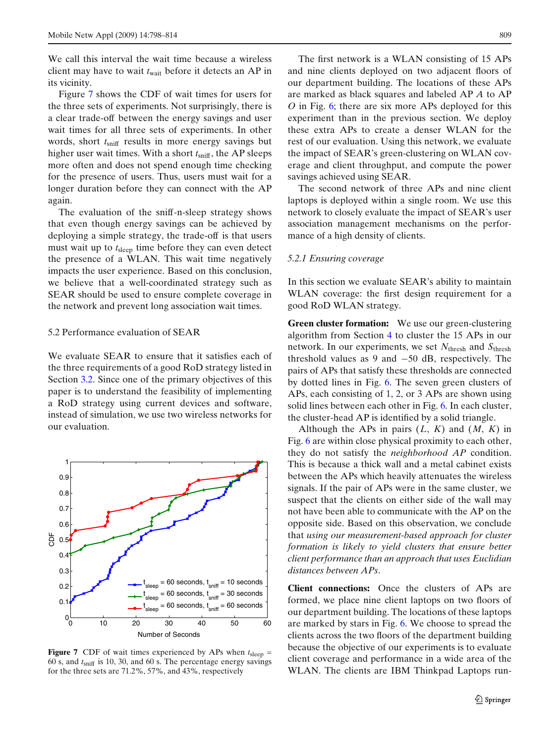We call this interval the wait time because a wireless client may have to wait *t*wait before it detects an AP in its vicinity.

Figure 7 shows the CDF of wait times for users for the three sets of experiments. Not surprisingly, there is a clear trade-off between the energy savings and user wait times for all three sets of experiments. In other words, short  $t_{\text{sniff}}$  results in more energy savings but higher user wait times. With a short  $t_{\text{sniff}}$ , the AP sleeps more often and does not spend enough time checking for the presence of users. Thus, users must wait for a longer duration before they can connect with the AP again.

The evaluation of the sniff-n-sleep strategy shows that even though energy savings can be achieved by deploying a simple strategy, the trade-off is that users must wait up to *t*sleep time before they can even detect the presence of a WLAN. This wait time negatively impacts the user experience. Based on this conclusion, we believe that a well-coordinated strategy such as SEAR should be used to ensure complete coverage in the network and prevent long association wait times.

# 5.2 Performance evaluation of SEAR

We evaluate SEAR to ensure that it satisfies each of the three requirements of a good RoD strategy listed in Section [3.2.](#page-5-0) Since one of the primary objectives of this paper is to understand the feasibility of implementing a RoD strategy using current devices and software, instead of simulation, we use two wireless networks for our evaluation.



**Figure 7** CDF of wait times experienced by APs when  $t_{\text{sleep}} =$ 60 s, and *t*sniff is 10, 30, and 60 s. The percentage energy savings for the three sets are 71.2%, 57%, and 43%, respectively

The first network is a WLAN consisting of 15 APs and nine clients deployed on two adjacent floors of our department building. The locations of these APs are marked as black squares and labeled AP *A* to AP *O* in Fig. [6;](#page-10-0) there are six more APs deployed for this experiment than in the previous section. We deploy these extra APs to create a denser WLAN for the rest of our evaluation. Using this network, we evaluate the impact of SEAR's green-clustering on WLAN coverage and client throughput, and compute the power savings achieved using SEAR.

The second network of three APs and nine client laptops is deployed within a single room. We use this network to closely evaluate the impact of SEAR's user association management mechanisms on the performance of a high density of clients.

### *5.2.1 Ensuring coverage*

In this section we evaluate SEAR's ability to maintain WLAN coverage: the first design requirement for a good RoD WLAN strategy.

**Green cluster formation:** We use our green-clustering algorithm from Section [4](#page-5-0) to cluster the 15 APs in our network. In our experiments, we set *N*thresh and *S*thresh threshold values as 9 and −50 dB, respectively. The pairs of APs that satisfy these thresholds are connected by dotted lines in Fig. [6.](#page-10-0) The seven green clusters of APs, each consisting of 1, 2, or 3 APs are shown using solid lines between each other in Fig. [6.](#page-10-0) In each cluster, the cluster-head AP is identified by a solid triangle.

Although the APs in pairs  $(L, K)$  and  $(M, K)$  in Fig. [6](#page-10-0) are within close physical proximity to each other, they do not satisfy the *neighborhood AP* condition. This is because a thick wall and a metal cabinet exists between the APs which heavily attenuates the wireless signals. If the pair of APs were in the same cluster, we suspect that the clients on either side of the wall may not have been able to communicate with the AP on the opposite side. Based on this observation, we conclude that *using our measurement-based approach for cluster formation is likely to yield clusters that ensure better client performance than an approach that uses Euclidian distances between APs*.

**Client connections:** Once the clusters of APs are formed, we place nine client laptops on two floors of our department building. The locations of these laptops are marked by stars in Fig. [6.](#page-10-0) We choose to spread the clients across the two floors of the department building because the objective of our experiments is to evaluate client coverage and performance in a wide area of the WLAN. The clients are IBM Thinkpad Laptops run-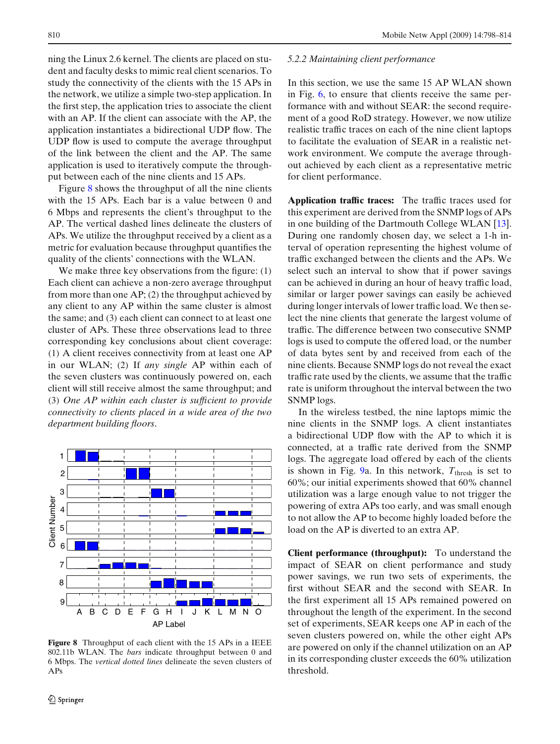ning the Linux 2.6 kernel. The clients are placed on student and faculty desks to mimic real client scenarios. To study the connectivity of the clients with the 15 APs in the network, we utilize a simple two-step application. In the first step, the application tries to associate the client with an AP. If the client can associate with the AP, the application instantiates a bidirectional UDP flow. The UDP flow is used to compute the average throughput of the link between the client and the AP. The same application is used to iteratively compute the throughput between each of the nine clients and 15 APs.

Figure 8 shows the throughput of all the nine clients with the 15 APs. Each bar is a value between 0 and 6 Mbps and represents the client's throughput to the AP. The vertical dashed lines delineate the clusters of APs. We utilize the throughput received by a client as a metric for evaluation because throughput quantifies the quality of the clients' connections with the WLAN.

We make three key observations from the figure: (1) Each client can achieve a non-zero average throughput from more than one AP; (2) the throughput achieved by any client to any AP within the same cluster is almost the same; and (3) each client can connect to at least one cluster of APs. These three observations lead to three corresponding key conclusions about client coverage: (1) A client receives connectivity from at least one AP in our WLAN; (2) If *any single* AP within each of the seven clusters was continuously powered on, each client will still receive almost the same throughput; and (3) *One AP within each cluster is sufficient to provide connectivity to clients placed in a wide area of the two department building floors*.



**Figure 8** Throughput of each client with the 15 APs in a IEEE 802.11b WLAN. The *bars* indicate throughput between 0 and 6 Mbps. The *vertical dotted lines* delineate the seven clusters of APs

#### *5.2.2 Maintaining client performance*

In this section, we use the same 15 AP WLAN shown in Fig. [6,](#page-10-0) to ensure that clients receive the same performance with and without SEAR: the second requirement of a good RoD strategy. However, we now utilize realistic traffic traces on each of the nine client laptops to facilitate the evaluation of SEAR in a realistic network environment. We compute the average throughout achieved by each client as a representative metric for client performance.

**Application traffic traces:** The traffic traces used for this experiment are derived from the SNMP logs of APs in one building of the Dartmouth College WLAN [\[13](#page-16-0)]. During one randomly chosen day, we select a 1-h interval of operation representing the highest volume of traffic exchanged between the clients and the APs. We select such an interval to show that if power savings can be achieved in during an hour of heavy traffic load, similar or larger power savings can easily be achieved during longer intervals of lower traffic load. We then select the nine clients that generate the largest volume of traffic. The difference between two consecutive SNMP logs is used to compute the offered load, or the number of data bytes sent by and received from each of the nine clients. Because SNMP logs do not reveal the exact traffic rate used by the clients, we assume that the traffic rate is uniform throughout the interval between the two SNMP logs.

In the wireless testbed, the nine laptops mimic the nine clients in the SNMP logs. A client instantiates a bidirectional UDP flow with the AP to which it is connected, at a traffic rate derived from the SNMP logs. The aggregate load offered by each of the clients is shown in Fig.  $9a$ . In this network,  $T_{\text{thresh}}$  is set to 60%; our initial experiments showed that 60% channel utilization was a large enough value to not trigger the powering of extra APs too early, and was small enough to not allow the AP to become highly loaded before the load on the AP is diverted to an extra AP.

**Client performance (throughput):** To understand the impact of SEAR on client performance and study power savings, we run two sets of experiments, the first without SEAR and the second with SEAR. In the first experiment all 15 APs remained powered on throughout the length of the experiment. In the second set of experiments, SEAR keeps one AP in each of the seven clusters powered on, while the other eight APs are powered on only if the channel utilization on an AP in its corresponding cluster exceeds the 60% utilization threshold.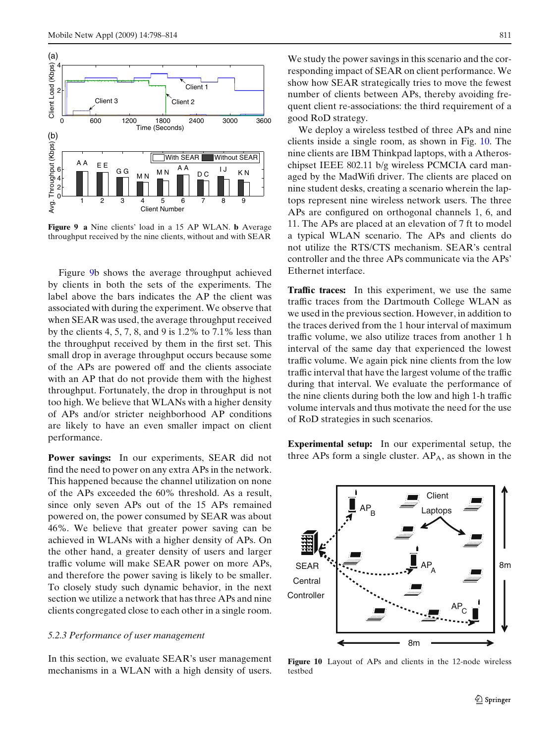<span id="page-13-0"></span>

**Figure 9 a** Nine clients' load in a 15 AP WLAN. **b** Average throughput received by the nine clients, without and with SEAR

Figure 9b shows the average throughput achieved by clients in both the sets of the experiments. The label above the bars indicates the AP the client was associated with during the experiment. We observe that when SEAR was used, the average throughput received by the clients 4, 5, 7, 8, and 9 is 1.2% to 7.1% less than the throughput received by them in the first set. This small drop in average throughput occurs because some of the APs are powered off and the clients associate with an AP that do not provide them with the highest throughput. Fortunately, the drop in throughput is not too high. We believe that WLANs with a higher density of APs and/or stricter neighborhood AP conditions are likely to have an even smaller impact on client performance.

**Power savings:** In our experiments, SEAR did not find the need to power on any extra APs in the network. This happened because the channel utilization on none of the APs exceeded the 60% threshold. As a result, since only seven APs out of the 15 APs remained powered on, the power consumed by SEAR was about 46%. We believe that greater power saving can be achieved in WLANs with a higher density of APs. On the other hand, a greater density of users and larger traffic volume will make SEAR power on more APs, and therefore the power saving is likely to be smaller. To closely study such dynamic behavior, in the next section we utilize a network that has three APs and nine clients congregated close to each other in a single room.

# *5.2.3 Performance of user management*

In this section, we evaluate SEAR's user management mechanisms in a WLAN with a high density of users.

We study the power savings in this scenario and the corresponding impact of SEAR on client performance. We show how SEAR strategically tries to move the fewest number of clients between APs, thereby avoiding frequent client re-associations: the third requirement of a good RoD strategy.

We deploy a wireless testbed of three APs and nine clients inside a single room, as shown in Fig. 10. The nine clients are IBM Thinkpad laptops, with a Atheroschipset IEEE 802.11 b/g wireless PCMCIA card managed by the MadWifi driver. The clients are placed on nine student desks, creating a scenario wherein the laptops represent nine wireless network users. The three APs are configured on orthogonal channels 1, 6, and 11. The APs are placed at an elevation of 7 ft to model a typical WLAN scenario. The APs and clients do not utilize the RTS/CTS mechanism. SEAR's central controller and the three APs communicate via the APs' Ethernet interface.

**Traffic traces:** In this experiment, we use the same traffic traces from the Dartmouth College WLAN as we used in the previous section. However, in addition to the traces derived from the 1 hour interval of maximum traffic volume, we also utilize traces from another 1 h interval of the same day that experienced the lowest traffic volume. We again pick nine clients from the low traffic interval that have the largest volume of the traffic during that interval. We evaluate the performance of the nine clients during both the low and high 1-h traffic volume intervals and thus motivate the need for the use of RoD strategies in such scenarios.

**Experimental setup:** In our experimental setup, the three APs form a single cluster.  $AP_A$ , as shown in the



**Figure 10** Layout of APs and clients in the 12-node wireless testbed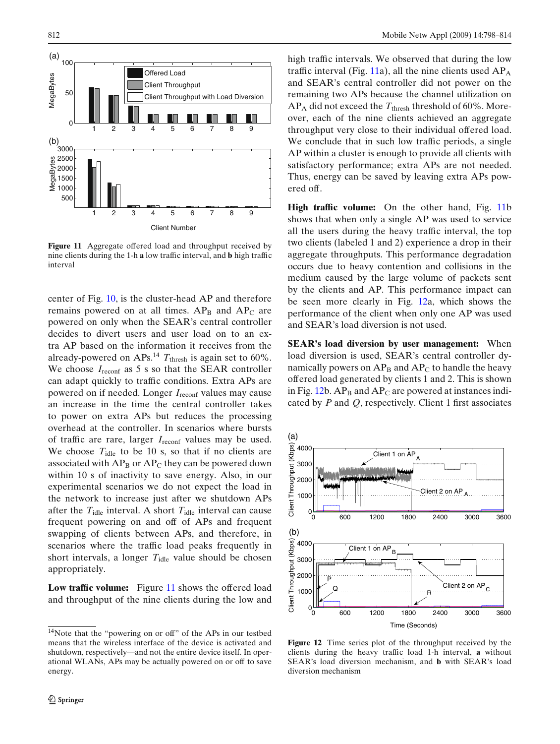

**Figure 11** Aggregate offered load and throughput received by nine clients during the 1-h **a** low traffic interval, and **b** high traffic interval

center of Fig. [10,](#page-13-0) is the cluster-head AP and therefore remains powered on at all times.  $AP_B$  and  $AP_C$  are powered on only when the SEAR's central controller decides to divert users and user load on to an extra AP based on the information it receives from the already-powered on APs.<sup>14</sup>  $T_{\text{thresh}}$  is again set to 60%. We choose  $I_{\text{reconf}}$  as 5 s so that the SEAR controller can adapt quickly to traffic conditions. Extra APs are powered on if needed. Longer *I*<sub>reconf</sub> values may cause an increase in the time the central controller takes to power on extra APs but reduces the processing overhead at the controller. In scenarios where bursts of traffic are rare, larger *I*<sub>reconf</sub> values may be used. We choose  $T_{idle}$  to be 10 s, so that if no clients are associated with  $AP_B$  or  $AP_C$  they can be powered down within 10 s of inactivity to save energy. Also, in our experimental scenarios we do not expect the load in the network to increase just after we shutdown APs after the  $T_{idle}$  interval. A short  $T_{idle}$  interval can cause frequent powering on and off of APs and frequent swapping of clients between APs, and therefore, in scenarios where the traffic load peaks frequently in short intervals, a longer  $T_{idle}$  value should be chosen appropriately.

Low traffic volume: Figure 11 shows the offered load and throughput of the nine clients during the low and

high traffic intervals. We observed that during the low traffic interval (Fig. 11a), all the nine clients used  $AP_A$ and SEAR's central controller did not power on the remaining two APs because the channel utilization on  $AP_A$  did not exceed the  $T_{\text{thresh}}$  threshold of 60%. Moreover, each of the nine clients achieved an aggregate throughput very close to their individual offered load. We conclude that in such low traffic periods, a single AP within a cluster is enough to provide all clients with satisfactory performance; extra APs are not needed. Thus, energy can be saved by leaving extra APs powered off.

**High traffic volume:** On the other hand, Fig. 11b shows that when only a single AP was used to service all the users during the heavy traffic interval, the top two clients (labeled 1 and 2) experience a drop in their aggregate throughputs. This performance degradation occurs due to heavy contention and collisions in the medium caused by the large volume of packets sent by the clients and AP. This performance impact can be seen more clearly in Fig. 12a, which shows the performance of the client when only one AP was used and SEAR's load diversion is not used.

**SEAR's load diversion by user management:** When load diversion is used, SEAR's central controller dynamically powers on  $AP_B$  and  $AP_C$  to handle the heavy offered load generated by clients 1 and 2. This is shown in Fig. 12b.  $AP_B$  and  $AP_C$  are powered at instances indicated by *P* and *Q*, respectively. Client 1 first associates



**Figure 12** Time series plot of the throughput received by the clients during the heavy traffic load 1-h interval, **a** without SEAR's load diversion mechanism, and **b** with SEAR's load diversion mechanism

<sup>14</sup>Note that the "powering on or off" of the APs in our testbed means that the wireless interface of the device is activated and shutdown, respectively—and not the entire device itself. In operational WLANs, APs may be actually powered on or off to save energy.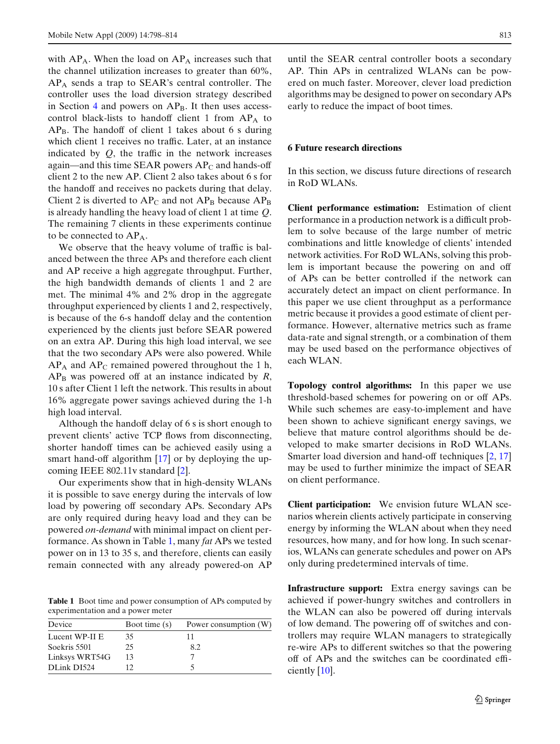<span id="page-15-0"></span>with  $AP_A$ . When the load on  $AP_A$  increases such that the channel utilization increases to greater than 60%, APA sends a trap to SEAR's central controller. The controller uses the load diversion strategy described in Section [4](#page-5-0) and powers on  $AP_B$ . It then uses accesscontrol black-lists to handoff client 1 from  $AP<sub>A</sub>$  to  $AP_B$ . The handoff of client 1 takes about 6 s during which client 1 receives no traffic. Later, at an instance indicated by *Q*, the traffic in the network increases again—and this time SEAR powers  $AP<sub>C</sub>$  and hands-off client 2 to the new AP. Client 2 also takes about 6 s for the handoff and receives no packets during that delay. Client 2 is diverted to  $AP_C$  and not  $AP_B$  because  $AP_B$ is already handling the heavy load of client 1 at time *Q*. The remaining 7 clients in these experiments continue to be connected to APA.

We observe that the heavy volume of traffic is balanced between the three APs and therefore each client and AP receive a high aggregate throughput. Further, the high bandwidth demands of clients 1 and 2 are met. The minimal 4% and 2% drop in the aggregate throughput experienced by clients 1 and 2, respectively, is because of the 6-s handoff delay and the contention experienced by the clients just before SEAR powered on an extra AP. During this high load interval, we see that the two secondary APs were also powered. While  $AP_A$  and  $AP_C$  remained powered throughout the 1 h,  $AP_B$  was powered off at an instance indicated by  $R$ , 10 s after Client 1 left the network. This results in about 16% aggregate power savings achieved during the 1-h high load interval.

Although the handoff delay of 6 s is short enough to prevent clients' active TCP flows from disconnecting, shorter handoff times can be achieved easily using a smart hand-off algorithm [\[17](#page-16-0)] or by deploying the upcoming IEEE 802.11v standard [\[2\]](#page-16-0).

Our experiments show that in high-density WLANs it is possible to save energy during the intervals of low load by powering off secondary APs. Secondary APs are only required during heavy load and they can be powered *on-demand* with minimal impact on client performance. As shown in Table 1, many *fat* APs we tested power on in 13 to 35 s, and therefore, clients can easily remain connected with any already powered-on AP

**Table 1** Boot time and power consumption of APs computed by experimentation and a power meter

| Device         | Boot time (s) | Power consumption (W) |
|----------------|---------------|-----------------------|
| Lucent WP-II E | 35            |                       |
| Soekris 5501   | 25            | 8.2                   |
| Linksys WRT54G | 13            |                       |
| DLink DI524    |               |                       |

until the SEAR central controller boots a secondary AP. Thin APs in centralized WLANs can be powered on much faster. Moreover, clever load prediction algorithms may be designed to power on secondary APs early to reduce the impact of boot times.

# **6 Future research directions**

In this section, we discuss future directions of research in RoD WLANs.

**Client performance estimation:** Estimation of client performance in a production network is a difficult problem to solve because of the large number of metric combinations and little knowledge of clients' intended network activities. For RoD WLANs, solving this problem is important because the powering on and off of APs can be better controlled if the network can accurately detect an impact on client performance. In this paper we use client throughput as a performance metric because it provides a good estimate of client performance. However, alternative metrics such as frame data-rate and signal strength, or a combination of them may be used based on the performance objectives of each WLAN.

**Topology control algorithms:** In this paper we use threshold-based schemes for powering on or off APs. While such schemes are easy-to-implement and have been shown to achieve significant energy savings, we believe that mature control algorithms should be developed to make smarter decisions in RoD WLANs. Smarter load diversion and hand-off techniques [\[2,](#page-16-0) [17\]](#page-16-0) may be used to further minimize the impact of SEAR on client performance.

**Client participation:** We envision future WLAN scenarios wherein clients actively participate in conserving energy by informing the WLAN about when they need resources, how many, and for how long. In such scenarios, WLANs can generate schedules and power on APs only during predetermined intervals of time.

**Infrastructure support:** Extra energy savings can be achieved if power-hungry switches and controllers in the WLAN can also be powered off during intervals of low demand. The powering off of switches and controllers may require WLAN managers to strategically re-wire APs to different switches so that the powering off of APs and the switches can be coordinated efficiently [\[10\]](#page-16-0).